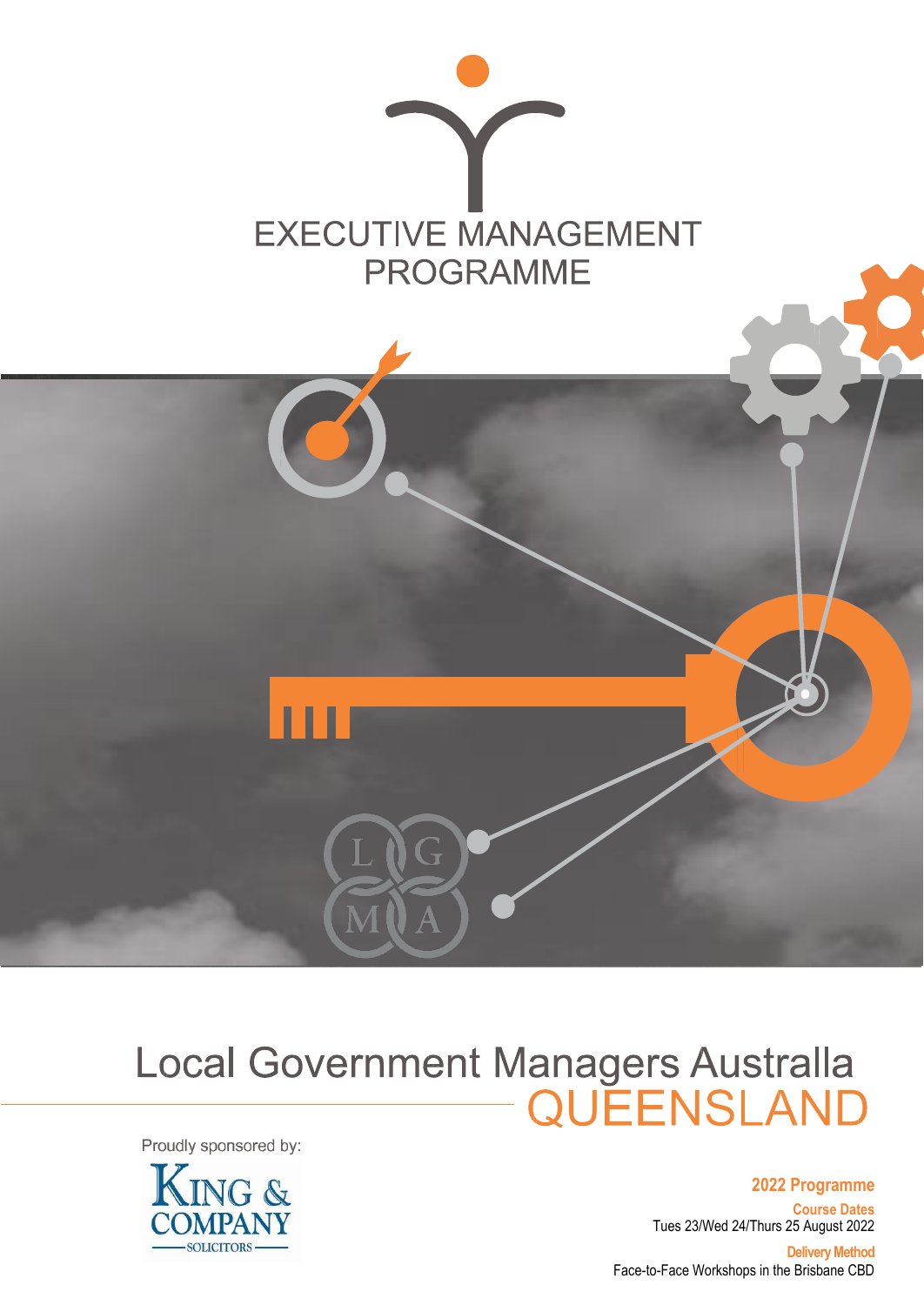



# Local Government Managers Australla<br>QUEENSLAND

Proudly sponsored by:



**2022 Programme**

**Course Dates** Tues 23/Wed 24/Thurs 25 August 2022

**Delivery Method** Face-to-Face Workshops in the Brisbane CBD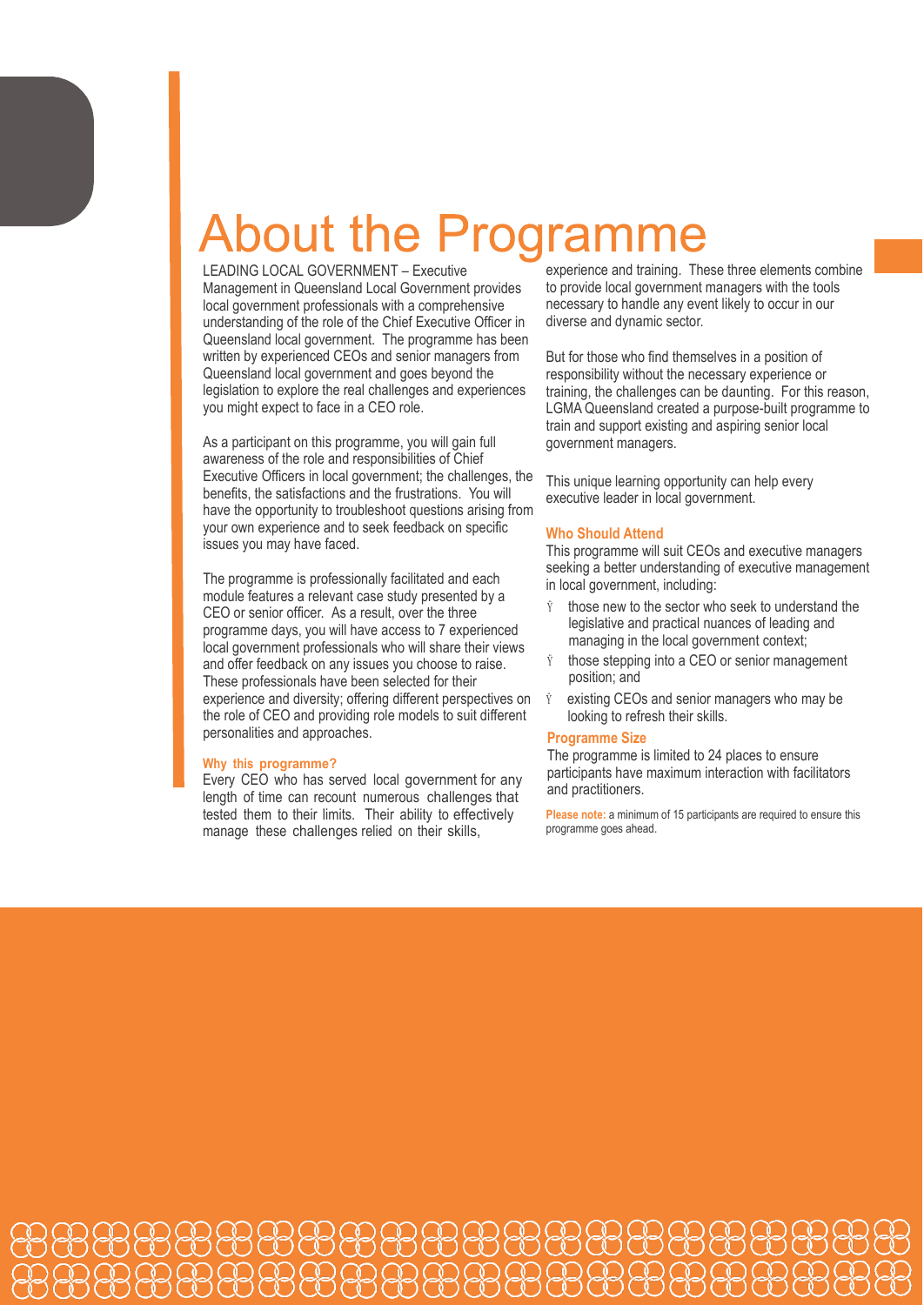### bout the Pro

LEADING LOCAL GOVERNMENT – Executive Management in Queensland Local Government provides local government professionals with a comprehensive understanding of the role of the Chief Executive Officer in Queensland local government. The programme has been written by experienced CEOs and senior managers from Queensland local government and goes beyond the legislation to explore the real challenges and experiences you might expect to face in a CEO role.

As a participant on this programme, you will gain full awareness of the role and responsibilities of Chief Executive Officers in local government; the challenges, the benefits, the satisfactions and the frustrations. You will have the opportunity to troubleshoot questions arising from your own experience and to seek feedback on specific issues you may have faced.

The programme is professionally facilitated and each module features a relevant case study presented by a CEO or senior officer. As a result, over the three programme days, you will have access to 7 experienced local government professionals who will share their views and offer feedback on any issues you choose to raise. These professionals have been selected for their experience and diversity; offering different perspectives on the role of CEO and providing role models to suit different personalities and approaches.

#### **Why this programme?**

Every CEO who has served local government for any length of time can recount numerous challenges that tested them to their limits. Their ability to effectively manage these challenges relied on their skills,

experience and training. These three elements combine to provide local government managers with the tools necessary to handle any event likely to occur in our diverse and dynamic sector.

But for those who find themselves in a position of responsibility without the necessary experience or training, the challenges can be daunting. For this reason, LGMA Queensland created a purpose-built programme to train and support existing and aspiring senior local government managers.

This unique learning opportunity can help every executive leader in local government.

#### **Who Should Attend**

This programme will suit CEOs and executive managers seeking a better understanding of executive management in local government, including:

- those new to the sector who seek to understand the legislative and practical nuances of leading and managing in the local government context;
- $\ddot{y}$  those stepping into a CEO or senior management position; and
- existing CEOs and senior managers who may be looking to refresh their skills.

#### **Programme Size**

The programme is limited to 24 places to ensure participants have maximum interaction with facilitators and practitioners.

**Please note:** a minimum of 15 participants are required to ensure this programme goes ahead.